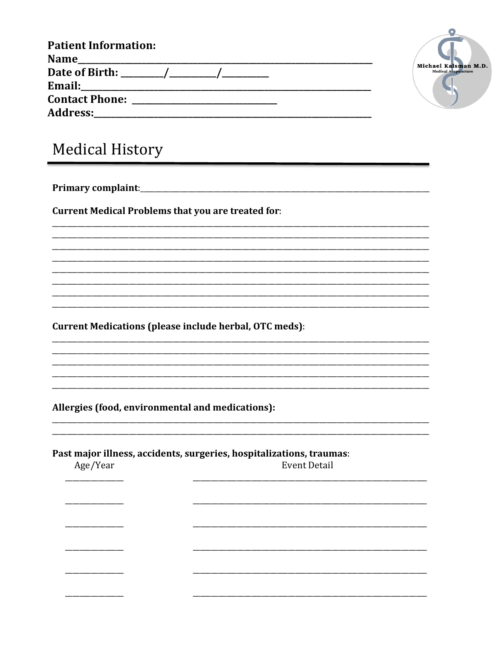| <b>Patient Information:</b> |  |
|-----------------------------|--|
| <b>Name</b>                 |  |
| Date of Birth: ________/_   |  |
| Email:                      |  |
| <b>Contact Phone:</b>       |  |
| <b>Address:</b>             |  |



## **Medical History**

**Current Medical Problems that you are treated for:** 

**Current Medications (please include herbal, OTC meds):** 

Allergies (food, environmental and medications):

Past major illness, accidents, surgeries, hospitalizations, traumas: Age/Year Event Detail